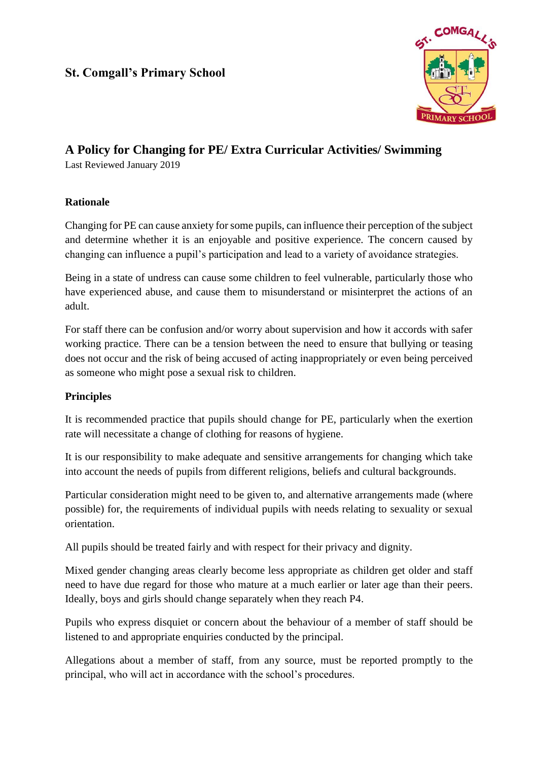## **St. Comgall's Primary School**



# **A Policy for Changing for PE/ Extra Curricular Activities/ Swimming**

Last Reviewed January 2019

#### **Rationale**

Changing for PE can cause anxiety for some pupils, can influence their perception of the subject and determine whether it is an enjoyable and positive experience. The concern caused by changing can influence a pupil's participation and lead to a variety of avoidance strategies.

Being in a state of undress can cause some children to feel vulnerable, particularly those who have experienced abuse, and cause them to misunderstand or misinterpret the actions of an adult.

For staff there can be confusion and/or worry about supervision and how it accords with safer working practice. There can be a tension between the need to ensure that bullying or teasing does not occur and the risk of being accused of acting inappropriately or even being perceived as someone who might pose a sexual risk to children.

### **Principles**

It is recommended practice that pupils should change for PE, particularly when the exertion rate will necessitate a change of clothing for reasons of hygiene.

It is our responsibility to make adequate and sensitive arrangements for changing which take into account the needs of pupils from different religions, beliefs and cultural backgrounds.

Particular consideration might need to be given to, and alternative arrangements made (where possible) for, the requirements of individual pupils with needs relating to sexuality or sexual orientation.

All pupils should be treated fairly and with respect for their privacy and dignity.

Mixed gender changing areas clearly become less appropriate as children get older and staff need to have due regard for those who mature at a much earlier or later age than their peers. Ideally, boys and girls should change separately when they reach P4.

Pupils who express disquiet or concern about the behaviour of a member of staff should be listened to and appropriate enquiries conducted by the principal.

Allegations about a member of staff, from any source, must be reported promptly to the principal, who will act in accordance with the school's procedures.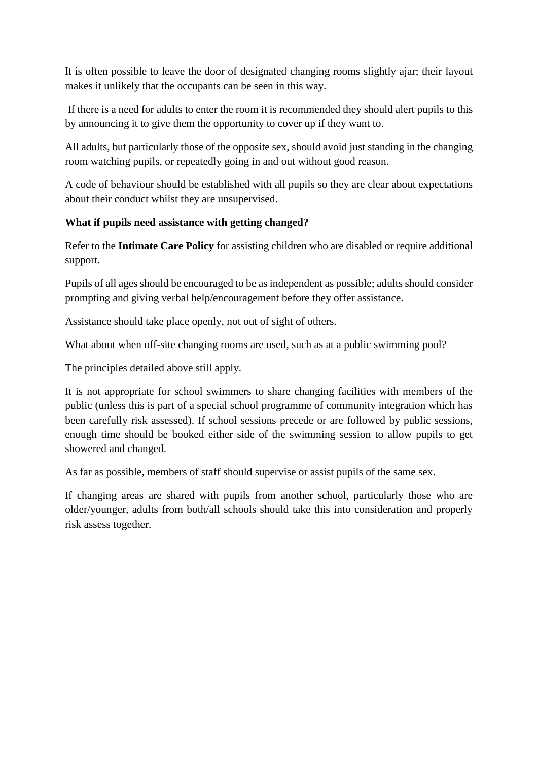It is often possible to leave the door of designated changing rooms slightly ajar; their layout makes it unlikely that the occupants can be seen in this way.

If there is a need for adults to enter the room it is recommended they should alert pupils to this by announcing it to give them the opportunity to cover up if they want to.

All adults, but particularly those of the opposite sex, should avoid just standing in the changing room watching pupils, or repeatedly going in and out without good reason.

A code of behaviour should be established with all pupils so they are clear about expectations about their conduct whilst they are unsupervised.

## **What if pupils need assistance with getting changed?**

Refer to the **Intimate Care Policy** for assisting children who are disabled or require additional support.

Pupils of all ages should be encouraged to be as independent as possible; adults should consider prompting and giving verbal help/encouragement before they offer assistance.

Assistance should take place openly, not out of sight of others.

What about when off-site changing rooms are used, such as at a public swimming pool?

The principles detailed above still apply.

It is not appropriate for school swimmers to share changing facilities with members of the public (unless this is part of a special school programme of community integration which has been carefully risk assessed). If school sessions precede or are followed by public sessions, enough time should be booked either side of the swimming session to allow pupils to get showered and changed.

As far as possible, members of staff should supervise or assist pupils of the same sex.

If changing areas are shared with pupils from another school, particularly those who are older/younger, adults from both/all schools should take this into consideration and properly risk assess together.